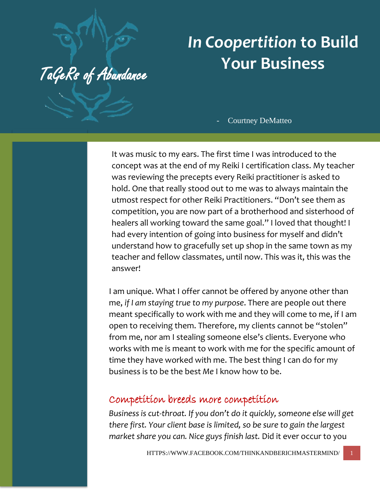## *In Coopertition* **to Build Your Business**

TaGeRs of Abundance

Courtney DeMatteo

It was music to my ears. The first time I was introduced to the concept was at the end of my Reiki I certification class. My teacher was reviewing the precepts every Reiki practitioner is asked to hold. One that really stood out to me was to always maintain the utmost respect for other Reiki Practitioners. "Don't see them as competition, you are now part of a brotherhood and sisterhood of healers all working toward the same goal." I loved that thought! I had every intention of going into business for myself and didn't understand how to gracefully set up shop in the same town as my teacher and fellow classmates, until now. This was it, this was the answer!

I am unique. What I offer cannot be offered by anyone other than me, *if I am staying true to my purpose*. There are people out there meant specifically to work with me and they will come to me, if I am open to receiving them. Therefore, my clients cannot be "stolen" from me, nor am I stealing someone else's clients. Everyone who works with me is meant to work with me for the specific amount of time they have worked with me. The best thing I can do for my business is to be the best *Me* I know how to be.

## Competition breeds more competition

*Business is cut-throat. If you don't do it quickly, someone else will get there first. Your client base is limited, so be sure to gain the largest market share you can. Nice guys finish last.* Did it ever occur to you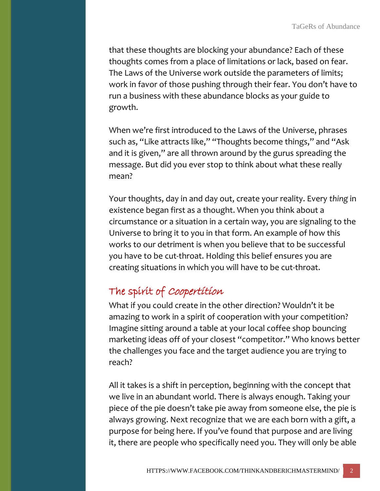that these thoughts are blocking your abundance? Each of these thoughts comes from a place of limitations or lack, based on fear. The Laws of the Universe work outside the parameters of limits; work in favor of those pushing through their fear. You don't have to run a business with these abundance blocks as your guide to growth.

When we're first introduced to the Laws of the Universe, phrases such as, "Like attracts like," "Thoughts become things," and "Ask and it is given," are all thrown around by the gurus spreading the message. But did you ever stop to think about what these really mean?

Your thoughts, day in and day out, create your reality. Every *thing* in existence began first as a thought. When you think about a circumstance or a situation in a certain way, you are signaling to the Universe to bring it to you in that form. An example of how this works to our detriment is when you believe that to be successful you have to be cut-throat. Holding this belief ensures you are creating situations in which you will have to be cut-throat.

## The spirit of Coopertition

What if you could create in the other direction? Wouldn't it be amazing to work in a spirit of cooperation with your competition? Imagine sitting around a table at your local coffee shop bouncing marketing ideas off of your closest "competitor." Who knows better the challenges you face and the target audience you are trying to reach?

All it takes is a shift in perception, beginning with the concept that we live in an abundant world. There is always enough. Taking your piece of the pie doesn't take pie away from someone else, the pie is always growing. Next recognize that we are each born with a gift, a purpose for being here. If you've found that purpose and are living it, there are people who specifically need you. They will only be able